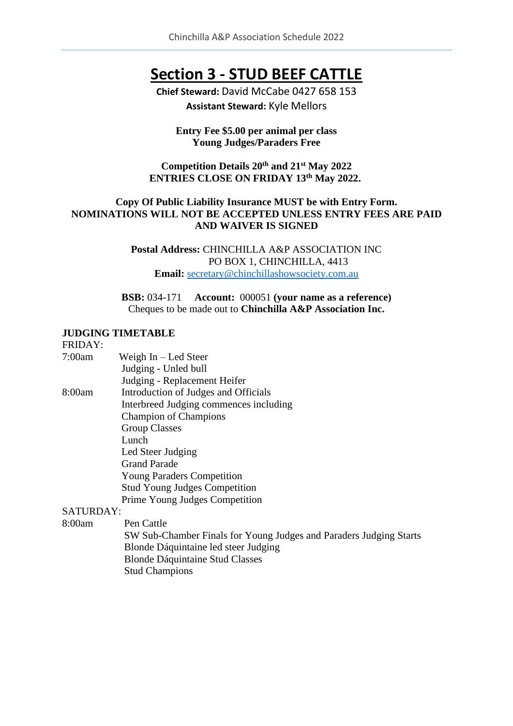# **Section 3 - STUD BEEF CATTLE**

**Chief Steward:** David McCabe 0427 658 153 **Assistant Steward:** Kyle Mellors

#### **Entry Fee \$5.00 per animal per class Young Judges/Paraders Free**

### **Competition Details 20th and 21st May 2022 ENTRIES CLOSE ON FRIDAY 13th May 2022.**

#### **Copy Of Public Liability Insurance MUST be with Entry Form. NOMINATIONS WILL NOT BE ACCEPTED UNLESS ENTRY FEES ARE PAID AND WAIVER IS SIGNED**

**Postal Address:** CHINCHILLA A&P ASSOCIATION INC PO BOX 1, CHINCHILLA, 4413 **Email:** [secretary@chinchillashowsociety.com.au](mailto:secretary@chinchillashowsociety.com.au)

**BSB:** 034-171 **Account:** 000051 **(your name as a reference)** Cheques to be made out to **Chinchilla A&P Association Inc.**

#### **JUDGING TIMETABLE**

FRIDAY:

| 7:00am    | Weigh $In - Led Steer$                 |
|-----------|----------------------------------------|
|           | Judging - Unled bull                   |
|           | Judging - Replacement Heifer           |
| 8:00am    | Introduction of Judges and Officials   |
|           | Interbreed Judging commences including |
|           | <b>Champion of Champions</b>           |
|           | <b>Group Classes</b>                   |
|           | Lunch                                  |
|           | Led Steer Judging                      |
|           | <b>Grand Parade</b>                    |
|           | <b>Young Paraders Competition</b>      |
|           | <b>Stud Young Judges Competition</b>   |
|           | Prime Young Judges Competition         |
| CATIIDDAV |                                        |

#### SATURDAY:

8:00am Pen Cattle

SW Sub-Chamber Finals for Young Judges and Paraders Judging Starts Blonde Dáquintaine led steer Judging Blonde Dáquintaine Stud Classes Stud Champions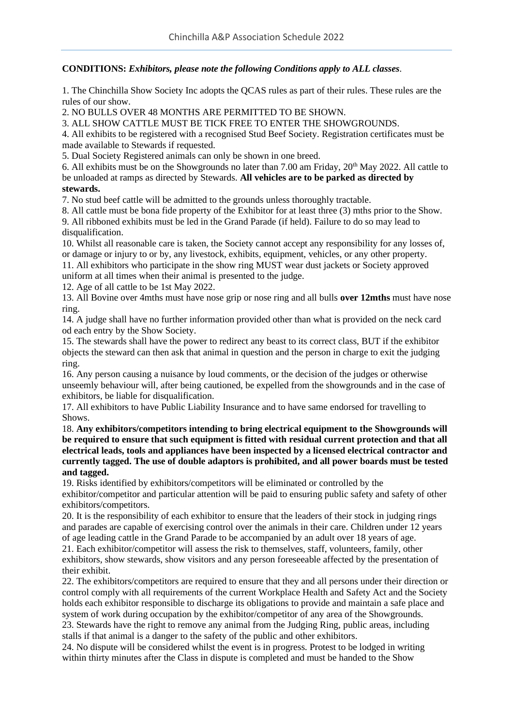#### **CONDITIONS:** *Exhibitors, please note the following Conditions apply to ALL classes.*

1. The Chinchilla Show Society Inc adopts the QCAS rules as part of their rules. These rules are the rules of our show.

2. NO BULLS OVER 48 MONTHS ARE PERMITTED TO BE SHOWN.

3. ALL SHOW CATTLE MUST BE TICK FREE TO ENTER THE SHOWGROUNDS.

4. All exhibits to be registered with a recognised Stud Beef Society. Registration certificates must be made available to Stewards if requested.

5. Dual Society Registered animals can only be shown in one breed.

6. All exhibits must be on the Showgrounds no later than 7.00 am Friday,  $20<sup>th</sup>$  May 2022. All cattle to be unloaded at ramps as directed by Stewards. **All vehicles are to be parked as directed by stewards.**

7. No stud beef cattle will be admitted to the grounds unless thoroughly tractable.

8. All cattle must be bona fide property of the Exhibitor for at least three (3) mths prior to the Show. 9. All ribboned exhibits must be led in the Grand Parade (if held). Failure to do so may lead to disqualification.

10. Whilst all reasonable care is taken, the Society cannot accept any responsibility for any losses of, or damage or injury to or by, any livestock, exhibits, equipment, vehicles, or any other property.

11. All exhibitors who participate in the show ring MUST wear dust jackets or Society approved uniform at all times when their animal is presented to the judge.

12. Age of all cattle to be 1st May 2022.

13. All Bovine over 4mths must have nose grip or nose ring and all bulls **over 12mths** must have nose ring.

14. A judge shall have no further information provided other than what is provided on the neck card od each entry by the Show Society.

15. The stewards shall have the power to redirect any beast to its correct class, BUT if the exhibitor objects the steward can then ask that animal in question and the person in charge to exit the judging ring.

16. Any person causing a nuisance by loud comments, or the decision of the judges or otherwise unseemly behaviour will, after being cautioned, be expelled from the showgrounds and in the case of exhibitors, be liable for disqualification.

17. All exhibitors to have Public Liability Insurance and to have same endorsed for travelling to Shows.

18. **Any exhibitors/competitors intending to bring electrical equipment to the Showgrounds will be required to ensure that such equipment is fitted with residual current protection and that all electrical leads, tools and appliances have been inspected by a licensed electrical contractor and currently tagged. The use of double adaptors is prohibited, and all power boards must be tested and tagged.**

19. Risks identified by exhibitors/competitors will be eliminated or controlled by the exhibitor/competitor and particular attention will be paid to ensuring public safety and safety of other exhibitors/competitors.

20. It is the responsibility of each exhibitor to ensure that the leaders of their stock in judging rings and parades are capable of exercising control over the animals in their care. Children under 12 years of age leading cattle in the Grand Parade to be accompanied by an adult over 18 years of age.

21. Each exhibitor/competitor will assess the risk to themselves, staff, volunteers, family, other exhibitors, show stewards, show visitors and any person foreseeable affected by the presentation of their exhibit.

22. The exhibitors/competitors are required to ensure that they and all persons under their direction or control comply with all requirements of the current Workplace Health and Safety Act and the Society holds each exhibitor responsible to discharge its obligations to provide and maintain a safe place and system of work during occupation by the exhibitor/competitor of any area of the Showgrounds.

23. Stewards have the right to remove any animal from the Judging Ring, public areas, including stalls if that animal is a danger to the safety of the public and other exhibitors.

24. No dispute will be considered whilst the event is in progress. Protest to be lodged in writing within thirty minutes after the Class in dispute is completed and must be handed to the Show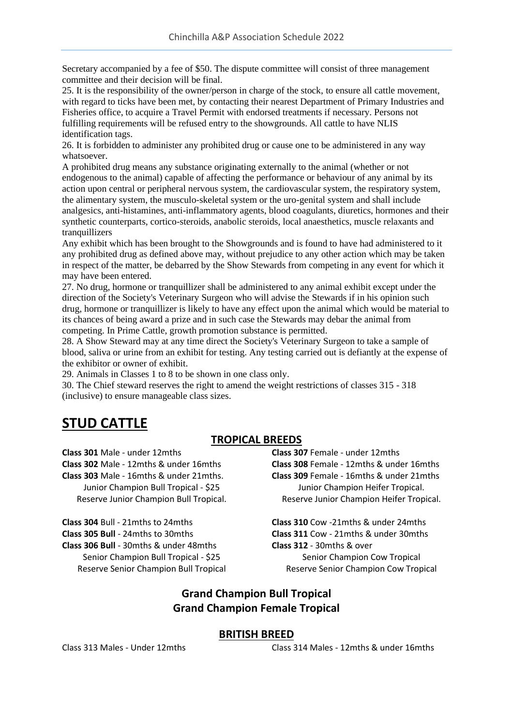Secretary accompanied by a fee of \$50. The dispute committee will consist of three management committee and their decision will be final.

25. It is the responsibility of the owner/person in charge of the stock, to ensure all cattle movement, with regard to ticks have been met, by contacting their nearest Department of Primary Industries and Fisheries office, to acquire a Travel Permit with endorsed treatments if necessary. Persons not fulfilling requirements will be refused entry to the showgrounds. All cattle to have NLIS identification tags.

26. It is forbidden to administer any prohibited drug or cause one to be administered in any way whatsoever.

A prohibited drug means any substance originating externally to the animal (whether or not endogenous to the animal) capable of affecting the performance or behaviour of any animal by its action upon central or peripheral nervous system, the cardiovascular system, the respiratory system, the alimentary system, the musculo-skeletal system or the uro-genital system and shall include analgesics, anti-histamines, anti-inflammatory agents, blood coagulants, diuretics, hormones and their synthetic counterparts, cortico-steroids, anabolic steroids, local anaesthetics, muscle relaxants and tranquillizers

Any exhibit which has been brought to the Showgrounds and is found to have had administered to it any prohibited drug as defined above may, without prejudice to any other action which may be taken in respect of the matter, be debarred by the Show Stewards from competing in any event for which it may have been entered.

27. No drug, hormone or tranquillizer shall be administered to any animal exhibit except under the direction of the Society's Veterinary Surgeon who will advise the Stewards if in his opinion such drug, hormone or tranquillizer is likely to have any effect upon the animal which would be material to its chances of being award a prize and in such case the Stewards may debar the animal from competing. In Prime Cattle, growth promotion substance is permitted.

28. A Show Steward may at any time direct the Society's Veterinary Surgeon to take a sample of blood, saliva or urine from an exhibit for testing. Any testing carried out is defiantly at the expense of the exhibitor or owner of exhibit.

29. Animals in Classes 1 to 8 to be shown in one class only.

30. The Chief steward reserves the right to amend the weight restrictions of classes 315 - 318 (inclusive) to ensure manageable class sizes.

# **STUD CATTLE**

## **TROPICAL BREEDS**

**Class 301** Male - under 12mths **Class 302** Male - 12mths & under 16mths **Class 303** Male - 16mths & under 21mths. Junior Champion Bull Tropical - \$25 Reserve Junior Champion Bull Tropical.

**Class 304** Bull - 21mths to 24mths **Class 305 Bull** - 24mths to 30mths **Class 306 Bull** - 30mths & under 48mths Senior Champion Bull Tropical - \$25 Reserve Senior Champion Bull Tropical

**Class 307** Female - under 12mths **Class 308** Female - 12mths & under 16mths **Class 309** Female - 16mths & under 21mths Junior Champion Heifer Tropical. Reserve Junior Champion Heifer Tropical.

**Class 310** Cow -21mths & under 24mths **Class 311** Cow - 21mths & under 30mths **Class 312** - 30mths & over Senior Champion Cow Tropical Reserve Senior Champion Cow Tropical

## **Grand Champion Bull Tropical Grand Champion Female Tropical**

#### **BRITISH BREED**

#### Class 313 Males - Under 12mths Class 314 Males - 12mths & under 16mths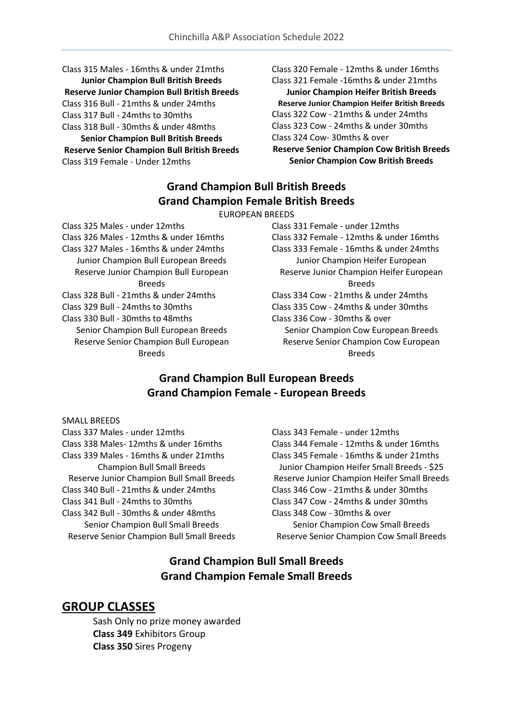Class 315 Males - 16mths & under 21mths **Junior Champion Bull British Breeds Reserve Junior Champion Bull British Breeds** Class 316 Bull - 21mths & under 24mths Class 317 Bull - 24mths to 30mths Class 318 Bull - 30mths & under 48mths **Senior Champion Bull British Breeds Reserve Senior Champion Bull British Breeds** Class 319 Female - Under 12mths

Class 320 Female - 12mths & under 16mths Class 321 Female -16mths & under 21mths

**Junior Champion Heifer British Breeds Reserve Junior Champion Heifer British Breeds** Class 322 Cow - 21mths & under 24mths Class 323 Cow - 24mths & under 30mths Class 324 Cow- 30mths & over **Reserve Senior Champion Cow British Breeds** 

**Senior Champion Cow British Breeds**

# **Grand Champion Bull British Breeds Grand Champion Female British Breeds**

EUROPEAN BREEDS

Class 325 Males - under 12mths Class 326 Males - 12mths & under 16mths Class 327 Males - 16mths & under 24mths Junior Champion Bull European Breeds Reserve Junior Champion Bull European Breeds Class 328 Bull - 21mths & under 24mths Class 329 Bull - 24mths to 30mths Class 330 Bull - 30mths to 48mths Senior Champion Bull European Breeds Reserve Senior Champion Bull European Breeds

Class 331 Female - under 12mths Class 332 Female - 12mths & under 16mths Class 333 Female - 16mths & under 24mths Junior Champion Heifer European Reserve Junior Champion Heifer European Breeds Class 334 Cow - 21mths & under 24mths Class 335 Cow - 24mths & under 30mths Class 336 Cow - 30mths & over Senior Champion Cow European Breeds Reserve Senior Champion Cow European Breeds

# **Grand Champion Bull European Breeds Grand Champion Female - European Breeds**

SMALL BREEDS

Class 337 Males - under 12mths Class 338 Males- 12mths & under 16mths Class 339 Males - 16mths & under 21mths Champion Bull Small Breeds Reserve Junior Champion Bull Small Breeds Class 340 Bull - 21mths & under 24mths Class 341 Bull - 24mths to 30mths Class 342 Bull - 30mths & under 48mths Senior Champion Bull Small Breeds Reserve Senior Champion Bull Small Breeds Class 343 Female - under 12mths Class 344 Female - 12mths & under 16mths Class 345 Female - 16mths & under 21mths Junior Champion Heifer Small Breeds - \$25 Reserve Junior Champion Heifer Small Breeds Class 346 Cow - 21mths & under 30mths Class 347 Cow - 24mths & under 30mths Class 348 Cow - 30mths & over Senior Champion Cow Small Breeds Reserve Senior Champion Cow Small Breeds

# **Grand Champion Bull Small Breeds Grand Champion Female Small Breeds**

# **GROUP CLASSES**

Sash Only no prize money awarded **Class 349** Exhibitors Group **Class 350** Sires Progeny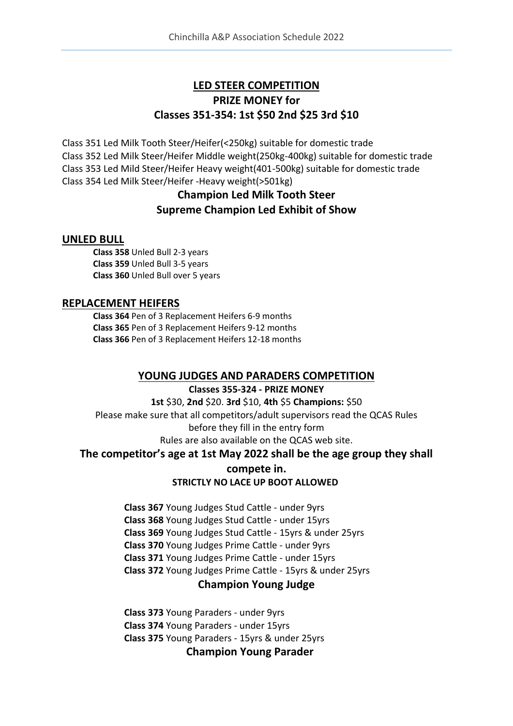# **LED STEER COMPETITION PRIZE MONEY for Classes 351-354: 1st \$50 2nd \$25 3rd \$10**

Class 351 Led Milk Tooth Steer/Heifer(<250kg) suitable for domestic trade Class 352 Led Milk Steer/Heifer Middle weight(250kg-400kg) suitable for domestic trade Class 353 Led Mild Steer/Heifer Heavy weight(401-500kg) suitable for domestic trade Class 354 Led Milk Steer/Heifer -Heavy weight(>501kg)

# **Champion Led Milk Tooth Steer Supreme Champion Led Exhibit of Show**

### **UNLED BULL**

**Class 358** Unled Bull 2-3 years **Class 359** Unled Bull 3-5 years **Class 360** Unled Bull over 5 years

### **REPLACEMENT HEIFERS**

**Class 364** Pen of 3 Replacement Heifers 6-9 months **Class 365** Pen of 3 Replacement Heifers 9-12 months **Class 366** Pen of 3 Replacement Heifers 12-18 months

## **YOUNG JUDGES AND PARADERS COMPETITION**

**Classes 355-324 - PRIZE MONEY 1st** \$30, **2nd** \$20. **3rd** \$10, **4th** \$5 **Champions:** \$50 Please make sure that all competitors/adult supervisors read the QCAS Rules before they fill in the entry form Rules are also available on the QCAS web site.

### **The competitor's age at 1st May 2022 shall be the age group they shall**

### **compete in. STRICTLY NO LACE UP BOOT ALLOWED**

**Class 367** Young Judges Stud Cattle - under 9yrs **Class 368** Young Judges Stud Cattle - under 15yrs **Class 369** Young Judges Stud Cattle - 15yrs & under 25yrs **Class 370** Young Judges Prime Cattle - under 9yrs **Class 371** Young Judges Prime Cattle - under 15yrs **Class 372** Young Judges Prime Cattle - 15yrs & under 25yrs

## **Champion Young Judge**

**Class 373** Young Paraders - under 9yrs **Class 374** Young Paraders - under 15yrs **Class 375** Young Paraders - 15yrs & under 25yrs **Champion Young Parader**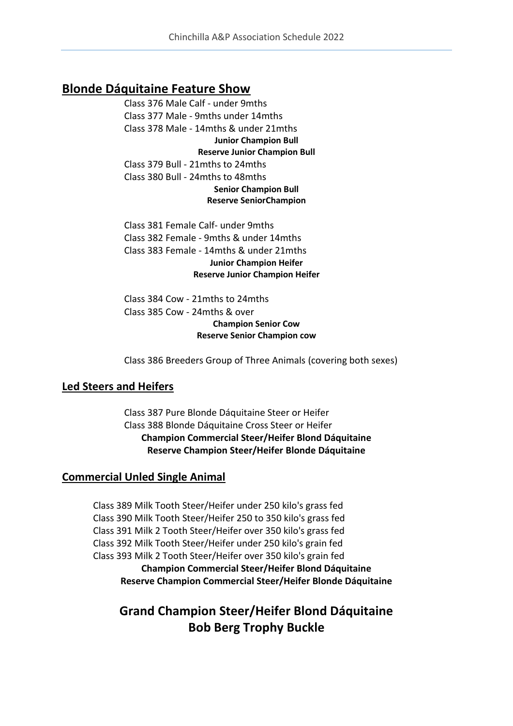# **Blonde Dáquitaine Feature Show**

Class 376 Male Calf - under 9mths Class 377 Male - 9mths under 14mths Class 378 Male - 14mths & under 21mths **Junior Champion Bull Reserve Junior Champion Bull** Class 379 Bull - 21mths to 24mths Class 380 Bull - 24mths to 48mths **Senior Champion Bull Reserve SeniorChampion** 

Class 381 Female Calf- under 9mths Class 382 Female - 9mths & under 14mths Class 383 Female - 14mths & under 21mths **Junior Champion Heifer Reserve Junior Champion Heifer**

Class 384 Cow - 21mths to 24mths Class 385 Cow - 24mths & over **Champion Senior Cow Reserve Senior Champion cow**

Class 386 Breeders Group of Three Animals (covering both sexes)

### **Led Steers and Heifers**

Class 387 Pure Blonde Dáquitaine Steer or Heifer Class 388 Blonde Dáquitaine Cross Steer or Heifer **Champion Commercial Steer/Heifer Blond Dáquitaine Reserve Champion Steer/Heifer Blonde Dáquitaine**

### **Commercial Unled Single Animal**

Class 389 Milk Tooth Steer/Heifer under 250 kilo's grass fed Class 390 Milk Tooth Steer/Heifer 250 to 350 kilo's grass fed Class 391 Milk 2 Tooth Steer/Heifer over 350 kilo's grass fed Class 392 Milk Tooth Steer/Heifer under 250 kilo's grain fed Class 393 Milk 2 Tooth Steer/Heifer over 350 kilo's grain fed **Champion Commercial Steer/Heifer Blond Dáquitaine Reserve Champion Commercial Steer/Heifer Blonde Dáquitaine**

# **Grand Champion Steer/Heifer Blond Dáquitaine Bob Berg Trophy Buckle**